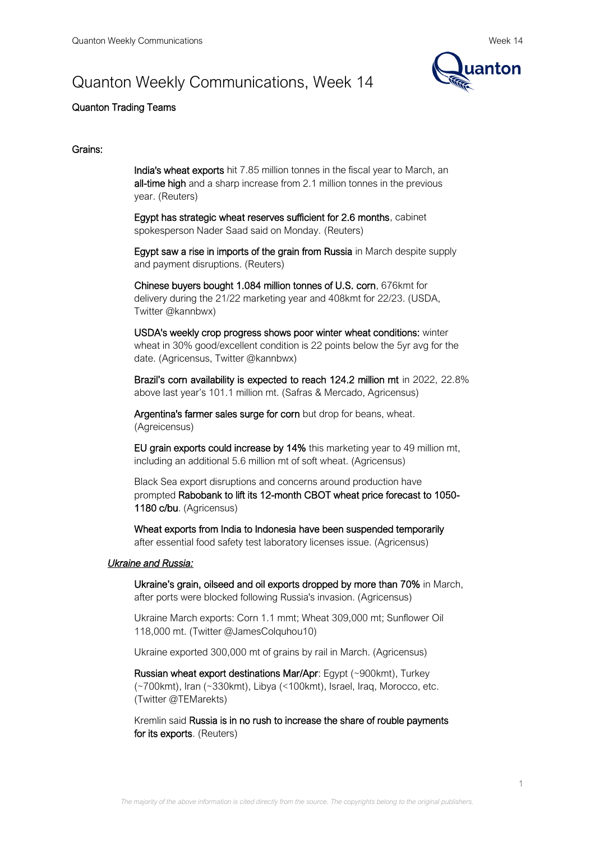# Quanton Weekly Communications, Week 14



# Quanton Trading Teams

## Grains:

India's wheat exports hit 7.85 million tonnes in the fiscal year to March, an all-time high and a sharp increase from 2.1 million tonnes in the previous year. (Reuters)

Egypt has strategic wheat reserves sufficient for 2.6 months, cabinet spokesperson Nader Saad said on Monday. (Reuters)

Egypt saw a rise in imports of the grain from Russia in March despite supply and payment disruptions. (Reuters)

Chinese buyers bought 1.084 million tonnes of U.S. corn, 676kmt for delivery during the 21/22 marketing year and 408kmt for 22/23. (USDA, Twitter @kannbwx)

USDA's weekly crop progress shows poor winter wheat conditions: winter wheat in 30% good/excellent condition is 22 points below the 5yr avg for the date. (Agricensus, Twitter @kannbwx)

Brazil's corn availability is expected to reach 124.2 million mt in 2022, 22.8% above last year's 101.1 million mt. (Safras & Mercado, Agricensus)

Argentina's farmer sales surge for corn but drop for beans, wheat. (Agreicensus)

EU grain exports could increase by 14% this marketing year to 49 million mt, including an additional 5.6 million mt of soft wheat. (Agricensus)

Black Sea export disruptions and concerns around production have prompted Rabobank to lift its 12-month CBOT wheat price forecast to 1050- 1180 c/bu. (Agricensus)

Wheat exports from India to Indonesia have been suspended temporarily after essential food safety test laboratory licenses issue. (Agricensus)

#### *Ukraine and Russia:*

Ukraine's grain, oilseed and oil exports dropped by more than 70% in March, after ports were blocked following Russia's invasion. (Agricensus)

Ukraine March exports: Corn 1.1 mmt; Wheat 309,000 mt; Sunflower Oil 118,000 mt. (Twitter @JamesColquhou10)

Ukraine exported 300,000 mt of grains by rail in March. (Agricensus)

Russian wheat export destinations Mar/Apr: Egypt (~900kmt), Turkey (~700kmt), Iran (~330kmt), Libya (<100kmt), Israel, Iraq, Morocco, etc. (Twitter @TEMarekts)

Kremlin said Russia is in no rush to increase the share of rouble payments for its exports. (Reuters)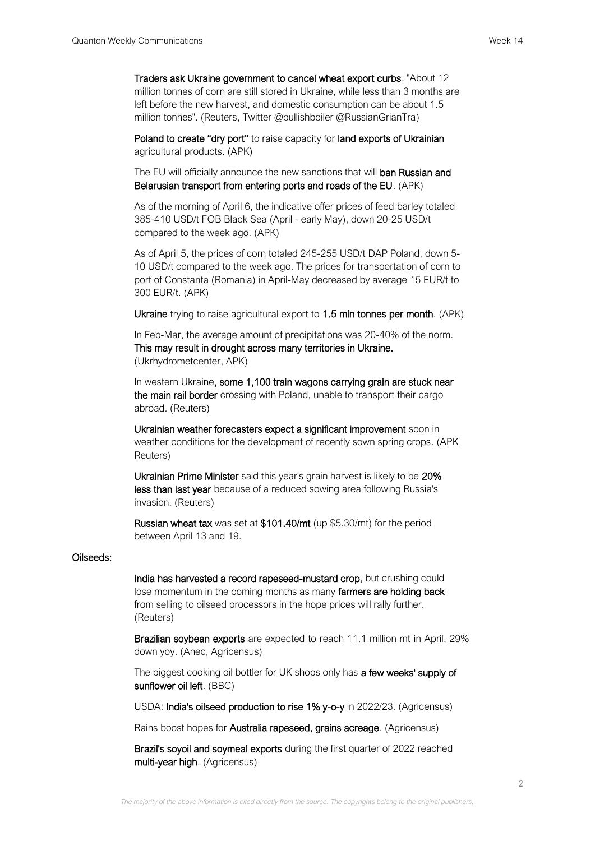Traders ask Ukraine government to cancel wheat export curbs. "About 12 million tonnes of corn are still stored in Ukraine, while less than 3 months are left before the new harvest, and domestic consumption can be about 1.5 million tonnes". (Reuters, Twitter @bullishboiler @RussianGrianTra)

Poland to create "dry port" to raise capacity for land exports of Ukrainian agricultural products. (APK)

The EU will officially announce the new sanctions that will **ban Russian and** Belarusian transport from entering ports and roads of the EU. (APK)

As of the morning of April 6, the indicative offer prices of feed barley totaled 385-410 USD/t FOB Black Sea (April - early May), down 20-25 USD/t compared to the week ago. (APK)

As of April 5, the prices of corn totaled 245-255 USD/t DAP Poland, down 5- 10 USD/t compared to the week ago. The prices for transportation of corn to port of Constanta (Romania) in April-May decreased by average 15 EUR/t to 300 EUR/t. (APK)

Ukraine trying to raise agricultural export to 1.5 mln tonnes per month. (APK)

In Feb-Mar, the average amount of precipitations was 20-40% of the norm. This may result in drought across many territories in Ukraine. (Ukrhydrometcenter, APK)

In western Ukraine, some 1,100 train wagons carrying grain are stuck near the main rail border crossing with Poland, unable to transport their cargo abroad. (Reuters)

Ukrainian weather forecasters expect a significant improvement soon in weather conditions for the development of recently sown spring crops. (APK Reuters)

Ukrainian Prime Minister said this year's grain harvest is likely to be 20% less than last year because of a reduced sowing area following Russia's invasion. (Reuters)

Russian wheat tax was set at \$101.40/mt (up \$5.30/mt) for the period between April 13 and 19.

#### Oilseeds:

India has harvested a record rapeseed-mustard crop, but crushing could lose momentum in the coming months as many farmers are holding back from selling to oilseed processors in the hope prices will rally further. (Reuters)

Brazilian soybean exports are expected to reach 11.1 million mt in April, 29% down yoy. (Anec, Agricensus)

The biggest cooking oil bottler for UK shops only has a few weeks' supply of sunflower oil left. (BBC)

USDA: India's oilseed production to rise 1% y-o-y in 2022/23. (Agricensus)

Rains boost hopes for Australia rapeseed, grains acreage. (Agricensus)

Brazil's soyoil and soymeal exports during the first quarter of 2022 reached multi-year high. (Agricensus)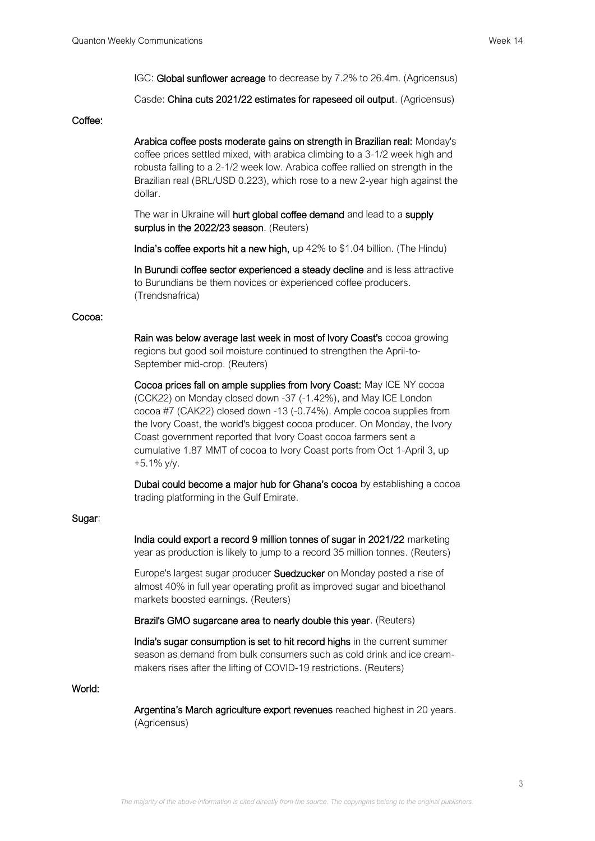IGC: Global sunflower acreage to decrease by 7.2% to 26.4m. (Agricensus)

Casde: China cuts 2021/22 estimates for rapeseed oil output. (Agricensus)

#### Coffee:

Arabica coffee posts moderate gains on strength in Brazilian real: Monday's coffee prices settled mixed, with arabica climbing to a 3-1/2 week high and robusta falling to a 2-1/2 week low. Arabica coffee rallied on strength in the Brazilian real (BRL/USD 0.223), which rose to a new 2-year high against the dollar.

The war in Ukraine will hurt global coffee demand and lead to a supply surplus in the 2022/23 season. (Reuters)

India's coffee exports hit a new high, up 42% to \$1.04 billion. (The Hindu)

In Burundi coffee sector experienced a steady decline and is less attractive to Burundians be them novices or experienced coffee producers. (Trendsnafrica)

#### Cocoa:

Rain was below average last week in most of Ivory Coast's cocoa growing regions but good soil moisture continued to strengthen the April-to-September mid-crop. (Reuters)

Cocoa prices fall on ample supplies from Ivory Coast: May ICE NY cocoa (CCK22) on Monday closed down -37 (-1.42%), and May ICE London cocoa #7 (CAK22) closed down -13 (-0.74%). Ample cocoa supplies from the Ivory Coast, the world's biggest cocoa producer. On Monday, the Ivory Coast government reported that Ivory Coast cocoa farmers sent a cumulative 1.87 MMT of cocoa to Ivory Coast ports from Oct 1-April 3, up +5.1% y/y.

Dubai could become a major hub for Ghana's cocoa by establishing a cocoa trading platforming in the Gulf Emirate.

## Sugar:

India could export a record 9 million tonnes of sugar in 2021/22 marketing year as production is likely to jump to a record 35 million tonnes. (Reuters)

Europe's largest sugar producer Suedzucker on Monday posted a rise of almost 40% in full year operating profit as improved sugar and bioethanol markets boosted earnings. (Reuters)

Brazil's GMO sugarcane area to nearly double this year. (Reuters)

India's sugar consumption is set to hit record highs in the current summer season as demand from bulk consumers such as cold drink and ice creammakers rises after the lifting of COVID-19 restrictions. (Reuters)

## World:

Argentina's March agriculture export revenues reached highest in 20 years. (Agricensus)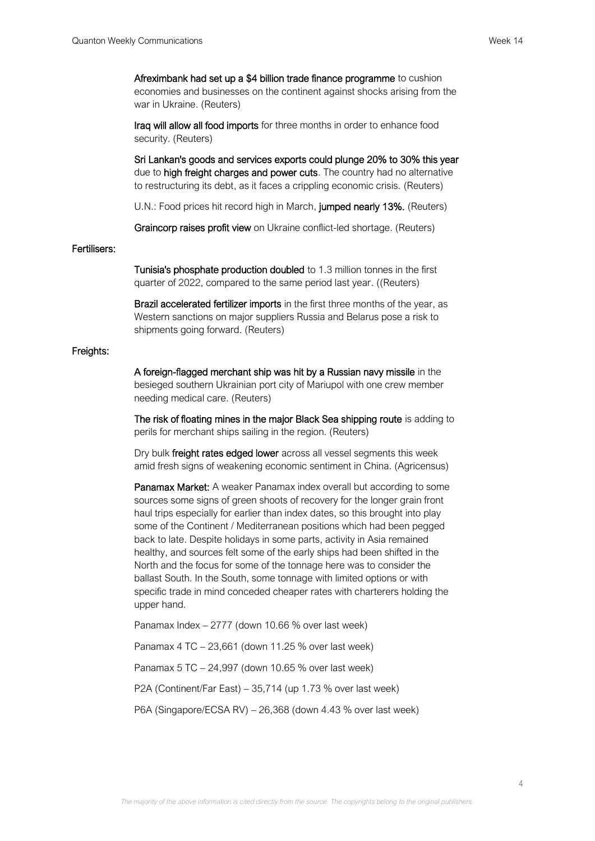Afreximbank had set up a \$4 billion trade finance programme to cushion economies and businesses on the continent against shocks arising from the war in Ukraine. (Reuters)

Iraq will allow all food imports for three months in order to enhance food security. (Reuters)

Sri Lankan's goods and services exports could plunge 20% to 30% this year due to **high freight charges and power cuts**. The country had no alternative to restructuring its debt, as it faces a crippling economic crisis. (Reuters)

U.N.: Food prices hit record high in March, jumped nearly 13%. (Reuters)

Graincorp raises profit view on Ukraine conflict-led shortage. (Reuters)

# Fertilisers:

Tunisia's phosphate production doubled to 1.3 million tonnes in the first quarter of 2022, compared to the same period last year. ((Reuters)

Brazil accelerated fertilizer imports in the first three months of the year, as Western sanctions on major suppliers Russia and Belarus pose a risk to shipments going forward. (Reuters)

#### Freights:

A foreign-flagged merchant ship was hit by a Russian navy missile in the besieged southern Ukrainian port city of Mariupol with one crew member needing medical care. (Reuters)

The risk of floating mines in the major Black Sea shipping route is adding to perils for merchant ships sailing in the region. (Reuters)

Dry bulk freight rates edged lower across all vessel segments this week amid fresh signs of weakening economic sentiment in China. (Agricensus)

Panamax Market: A weaker Panamax index overall but according to some sources some signs of green shoots of recovery for the longer grain front haul trips especially for earlier than index dates, so this brought into play some of the Continent / Mediterranean positions which had been pegged back to late. Despite holidays in some parts, activity in Asia remained healthy, and sources felt some of the early ships had been shifted in the North and the focus for some of the tonnage here was to consider the ballast South. In the South, some tonnage with limited options or with specific trade in mind conceded cheaper rates with charterers holding the upper hand.

Panamax Index – 2777 (down 10.66 % over last week)

Panamax 4 TC – 23,661 (down 11.25 % over last week)

Panamax 5 TC – 24,997 (down 10.65 % over last week)

P2A (Continent/Far East) – 35,714 (up 1.73 % over last week)

P6A (Singapore/ECSA RV) – 26,368 (down 4.43 % over last week)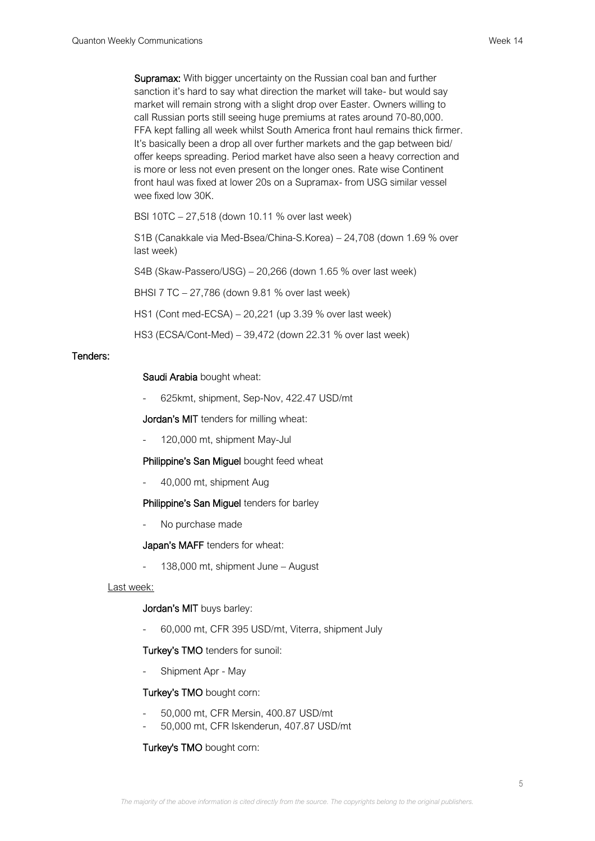Supramax: With bigger uncertainty on the Russian coal ban and further sanction it's hard to say what direction the market will take- but would say market will remain strong with a slight drop over Easter. Owners willing to call Russian ports still seeing huge premiums at rates around 70-80,000. FFA kept falling all week whilst South America front haul remains thick firmer. It's basically been a drop all over further markets and the gap between bid/ offer keeps spreading. Period market have also seen a heavy correction and is more or less not even present on the longer ones. Rate wise Continent front haul was fixed at lower 20s on a Supramax- from USG similar vessel wee fixed low 30K.

BSI 10TC – 27,518 (down 10.11 % over last week)

S1B (Canakkale via Med-Bsea/China-S.Korea) – 24,708 (down 1.69 % over last week)

S4B (Skaw-Passero/USG) – 20,266 (down 1.65 % over last week)

BHSI 7 TC – 27,786 (down 9.81 % over last week)

HS1 (Cont med-ECSA) – 20,221 (up 3.39 % over last week)

HS3 (ECSA/Cont-Med) – 39,472 (down 22.31 % over last week)

## Tenders:

## Saudi Arabia bought wheat:

- 625kmt, shipment, Sep-Nov, 422.47 USD/mt

Jordan's MIT tenders for milling wheat:

- 120,000 mt, shipment May-Jul

Philippine's San Miguel bought feed wheat

- 40,000 mt, shipment Aug

# Philippine's San Miguel tenders for barley

No purchase made

Japan's MAFF tenders for wheat:

- 138,000 mt, shipment June – August

Last week:

# Jordan's MIT buys barley:

- 60,000 mt, CFR 395 USD/mt, Viterra, shipment July

# Turkey's TMO tenders for sunoil:

Shipment Apr - May

# Turkey's TMO bought corn:

- 50,000 mt, CFR Mersin, 400.87 USD/mt
- 50,000 mt, CFR Iskenderun, 407.87 USD/mt

# Turkey's TMO bought corn: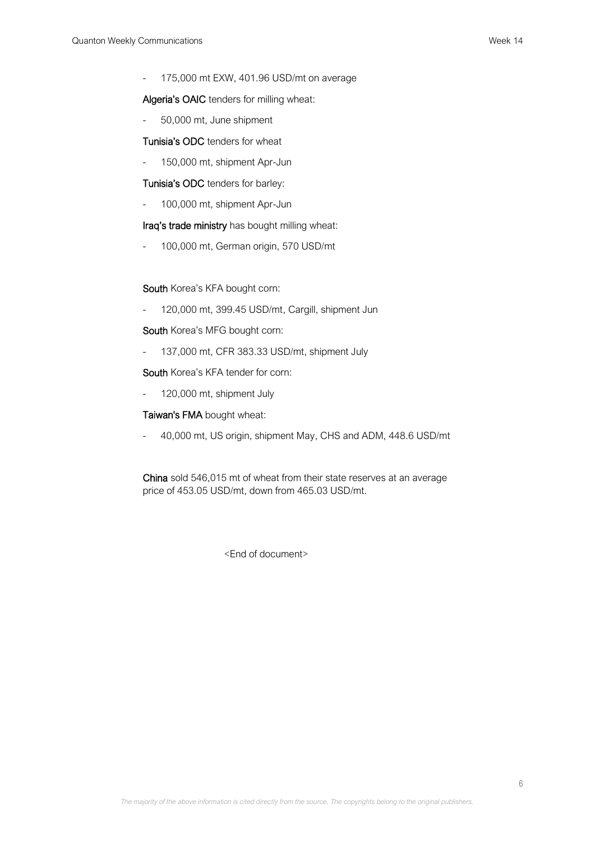- 175,000 mt EXW, 401.96 USD/mt on average

Algeria's OAIC tenders for milling wheat:

- 50,000 mt, June shipment

Tunisia's ODC tenders for wheat

- 150,000 mt, shipment Apr-Jun

Tunisia's ODC tenders for barley:

- 100,000 mt, shipment Apr-Jun

Iraq's trade ministry has bought milling wheat:

- 100,000 mt, German origin, 570 USD/mt

South Korea's KFA bought corn:

- 120,000 mt, 399.45 USD/mt, Cargill, shipment Jun

South Korea's MFG bought corn:

- 137,000 mt, CFR 383.33 USD/mt, shipment July

South Korea's KFA tender for corn:

- 120,000 mt, shipment July

Taiwan's FMA bought wheat:

- 40,000 mt, US origin, shipment May, CHS and ADM, 448.6 USD/mt

China sold 546,015 mt of wheat from their state reserves at an average price of 453.05 USD/mt, down from 465.03 USD/mt.

<End of document>